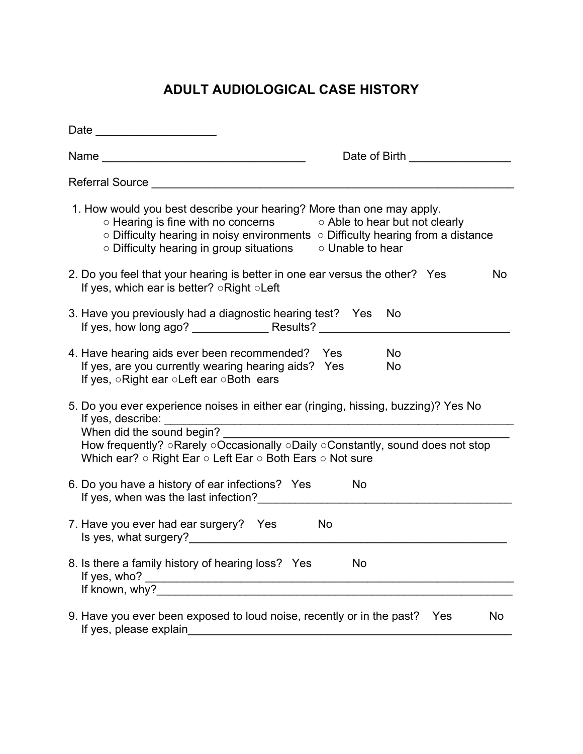## **ADULT AUDIOLOGICAL CASE HISTORY**

| Date __________________________                                                                                                                                                                                                                                                                                                |                                   |  |  |  |
|--------------------------------------------------------------------------------------------------------------------------------------------------------------------------------------------------------------------------------------------------------------------------------------------------------------------------------|-----------------------------------|--|--|--|
|                                                                                                                                                                                                                                                                                                                                | Date of Birth ___________________ |  |  |  |
| Referral Source Learner and Contract and Contract and Contract and Contract and Contract and Contract and Contract and Contract and Contract and Contract and Contract and Contract and Contract and Contract and Contract and                                                                                                 |                                   |  |  |  |
| 1. How would you best describe your hearing? More than one may apply.<br>$\circ$ Hearing is fine with no concerns $\circ$ Able to hear but not clearly<br>$\circ$ Difficulty hearing in noisy environments $\circ$ Difficulty hearing from a distance<br>$\circ$ Difficulty hearing in group situations $\circ$ Unable to hear |                                   |  |  |  |
| 2. Do you feel that your hearing is better in one ear versus the other? Yes<br>No<br>If yes, which ear is better? $\circ$ Right $\circ$ Left                                                                                                                                                                                   |                                   |  |  |  |
| 3. Have you previously had a diagnostic hearing test? Yes No                                                                                                                                                                                                                                                                   |                                   |  |  |  |
| 4. Have hearing aids ever been recommended? Yes<br>If yes, are you currently wearing hearing aids? Yes<br>If yes, oRight ear oLeft ear oBoth ears                                                                                                                                                                              | <b>No</b><br>No                   |  |  |  |
| 5. Do you ever experience noises in either ear (ringing, hissing, buzzing)? Yes No<br>When did the sound begin?<br>How frequently? oRarely oOccasionally oDaily oConstantly, sound does not stop<br>Which ear? $\circ$ Right Ear $\circ$ Left Ear $\circ$ Both Ears $\circ$ Not sure                                           |                                   |  |  |  |
| 6. Do you have a history of ear infections? Yes<br>If yes, when was the last infection?<br><u>If</u> yes, when was the last infection?                                                                                                                                                                                         | <b>No</b>                         |  |  |  |
| 7. Have you ever had ear surgery? Yes<br>Is yes, what surgery?                                                                                                                                                                                                                                                                 | <b>No</b>                         |  |  |  |
| 8. Is there a family history of hearing loss? Yes<br>If yes, who? $\overline{\qquad \qquad }$                                                                                                                                                                                                                                  | No                                |  |  |  |
| 9. Have you ever been exposed to loud noise, recently or in the past?<br>If yes, please explain                                                                                                                                                                                                                                | <b>No</b><br>Yes                  |  |  |  |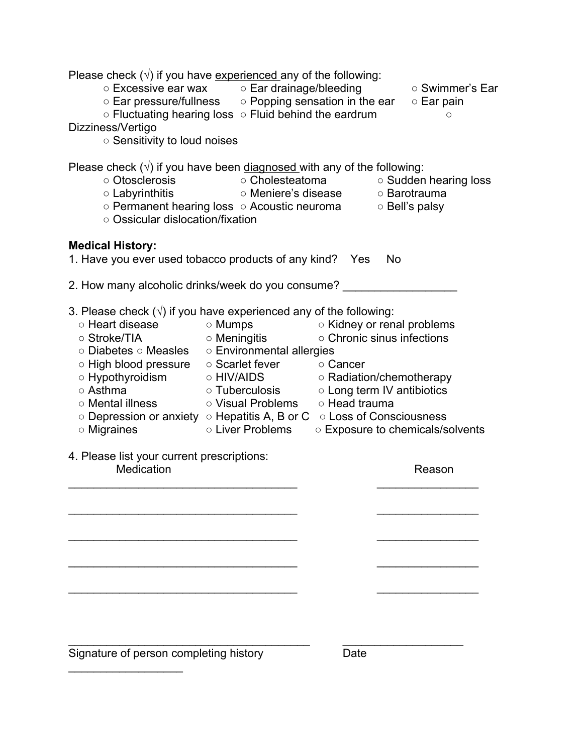| Please check $(v)$ if you have experienced any of the following:<br>○ Excessive ear wax o Ear drainage/bleeding<br>$\circ$ Ear pressure/fullness $\circ$ Popping sensation in the ear<br>○ Fluctuating hearing loss ○ Fluid behind the eardrum<br>Dizziness/Vertigo<br>o Sensitivity to loud noises                                                   |                                                                                                                                                                                                                                                        |                                        |                                | ○ Swimmer's Ear<br>$\circ$ Ear pain<br>$\circ$ |
|-------------------------------------------------------------------------------------------------------------------------------------------------------------------------------------------------------------------------------------------------------------------------------------------------------------------------------------------------------|--------------------------------------------------------------------------------------------------------------------------------------------------------------------------------------------------------------------------------------------------------|----------------------------------------|--------------------------------|------------------------------------------------|
| Please check $(\sqrt{)}$ if you have been diagnosed with any of the following:<br>○ Otosclerosis<br>$\circ$ Labyrinthitis<br>○ Permanent hearing loss ○ Acoustic neuroma<br>○ Ossicular dislocation/fixation                                                                                                                                          |                                                                                                                                                                                                                                                        | ○ Cholesteatoma<br>○ Meniere's disease | ○ Barotrauma<br>○ Bell's palsy | ○ Sudden hearing loss                          |
| <b>Medical History:</b><br>1. Have you ever used tobacco products of any kind? Yes                                                                                                                                                                                                                                                                    |                                                                                                                                                                                                                                                        |                                        | No                             |                                                |
| 2. How many alcoholic drinks/week do you consume?                                                                                                                                                                                                                                                                                                     |                                                                                                                                                                                                                                                        |                                        |                                |                                                |
| 3. Please check $(v)$ if you have experienced any of the following:<br>○ Heart disease<br>○ Stroke/TIA<br>○ Diabetes ○ Measles ○ Environmental allergies<br>○ High blood pressure<br>○ Hypothyroidism<br>○ Asthma<br>○ Mental illness<br>$\circ$ Depression or anxiety $\circ$ Hepatitis A, B or C $\circ$ Loss of Consciousness<br>$\circ$ Migraines | ⊙ Mumps on Kidney or renal problems<br>⊙ Meningitis on Chronic sinus infections<br>○ Scarlet fever ○ Cancer<br>o HIV/AIDS o Radiation/chemotherapy<br>○ Tuberculosis ○ Long term IV antibiotics<br>○ Visual Problems ○ Head trauma<br>○ Liver Problems |                                        |                                | o Exposure to chemicals/solvents               |
| 4. Please list your current prescriptions:<br>Medication                                                                                                                                                                                                                                                                                              |                                                                                                                                                                                                                                                        |                                        |                                | Reason                                         |
|                                                                                                                                                                                                                                                                                                                                                       |                                                                                                                                                                                                                                                        |                                        |                                |                                                |
|                                                                                                                                                                                                                                                                                                                                                       |                                                                                                                                                                                                                                                        |                                        |                                |                                                |
|                                                                                                                                                                                                                                                                                                                                                       |                                                                                                                                                                                                                                                        |                                        |                                |                                                |
| Signature of person completing history                                                                                                                                                                                                                                                                                                                |                                                                                                                                                                                                                                                        | Date                                   |                                |                                                |